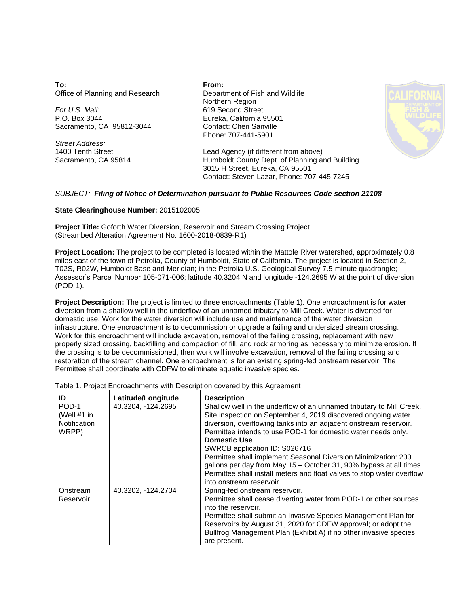**To:** Office of Planning and Research

*For U.S. Mail:* P.O. Box 3044 Sacramento, CA 95812-3044

*Street Address:* 1400 Tenth Street Sacramento, CA 95814 **From:** Department of Fish and Wildlife Northern Region 619 Second Street Eureka, California 95501 Contact: Cheri Sanville Phone: 707-441-5901



Lead Agency (if different from above) Humboldt County Dept. of Planning and Building 3015 H Street, Eureka, CA 95501 Contact: Steven Lazar, Phone: 707-445-7245

## *SUBJECT: Filing of Notice of Determination pursuant to Public Resources Code section 21108*

## **State Clearinghouse Number:** 2015102005

**Project Title:** Goforth Water Diversion, Reservoir and Stream Crossing Project (Streambed Alteration Agreement No. 1600-2018-0839-R1)

**Project Location:** The project to be completed is located within the Mattole River watershed, approximately 0.8 miles east of the town of Petrolia, County of Humboldt, State of California. The project is located in Section 2, T02S, R02W, Humboldt Base and Meridian; in the Petrolia U.S. Geological Survey 7.5-minute quadrangle; Assessor's Parcel Number 105-071-006; latitude 40.3204 N and longitude -124.2695 W at the point of diversion (POD-1).

**Project Description:** The project is limited to three encroachments (Table 1). One encroachment is for water diversion from a shallow well in the underflow of an unnamed tributary to Mill Creek. Water is diverted for domestic use. Work for the water diversion will include use and maintenance of the water diversion infrastructure. One encroachment is to decommission or upgrade a failing and undersized stream crossing. Work for this encroachment will include excavation, removal of the failing crossing, replacement with new properly sized crossing, backfilling and compaction of fill, and rock armoring as necessary to minimize erosion. If the crossing is to be decommissioned, then work will involve excavation, removal of the failing crossing and restoration of the stream channel. One encroachment is for an existing spring-fed onstream reservoir. The Permittee shall coordinate with CDFW to eliminate aquatic invasive species.

| ID                                              | Latitude/Longitude | <b>Description</b>                                                                                                                                                                                                                                                                                                                                                                                                                                                                                                                                                                |
|-------------------------------------------------|--------------------|-----------------------------------------------------------------------------------------------------------------------------------------------------------------------------------------------------------------------------------------------------------------------------------------------------------------------------------------------------------------------------------------------------------------------------------------------------------------------------------------------------------------------------------------------------------------------------------|
| POD-1<br>(Well $#1$ in<br>Notification<br>WRPP) | 40.3204, -124.2695 | Shallow well in the underflow of an unnamed tributary to Mill Creek.<br>Site inspection on September 4, 2019 discovered ongoing water<br>diversion, overflowing tanks into an adjacent onstream reservoir.<br>Permittee intends to use POD-1 for domestic water needs only.<br><b>Domestic Use</b><br>SWRCB application ID: S026716<br>Permittee shall implement Seasonal Diversion Minimization: 200<br>gallons per day from May 15 - October 31, 90% bypass at all times.<br>Permittee shall install meters and float valves to stop water overflow<br>into onstream reservoir. |
| Onstream<br>Reservoir                           | 40.3202, -124.2704 | Spring-fed onstream reservoir.<br>Permittee shall cease diverting water from POD-1 or other sources<br>into the reservoir.<br>Permittee shall submit an Invasive Species Management Plan for<br>Reservoirs by August 31, 2020 for CDFW approval; or adopt the<br>Bullfrog Management Plan (Exhibit A) if no other invasive species<br>are present.                                                                                                                                                                                                                                |

Table 1. Project Encroachments with Description covered by this Agreement